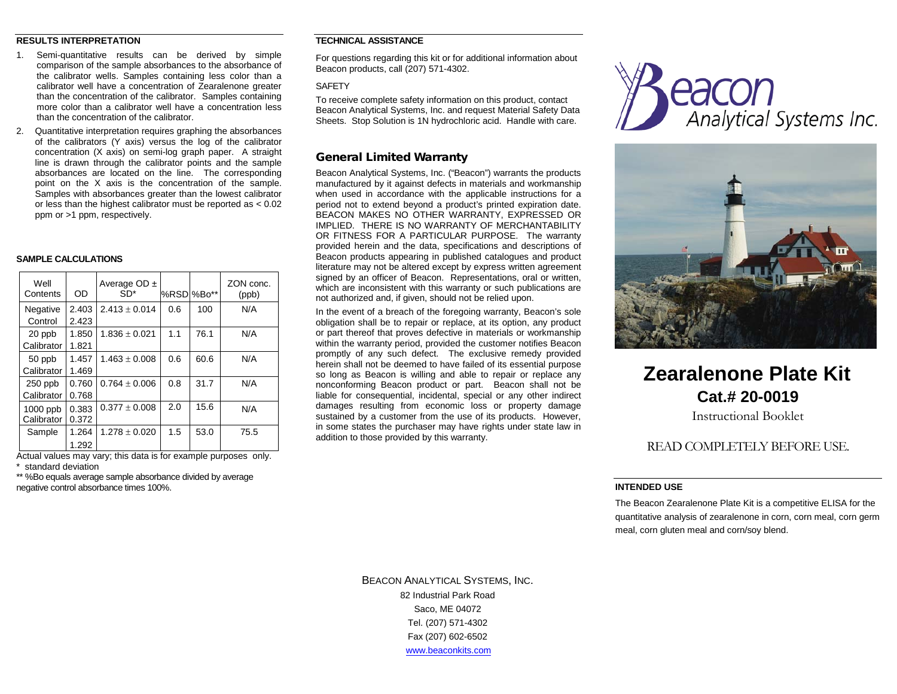#### **RESULTS INTERPRETATION**

- 1. Semi-quantitative results can be derived by simple comparison of the sample absorbances to the absorbance of the calibrator wells. Samples containing less color than a calibrator well have a concentration of Zearalenone greater than the concentration of the calibrator. Samples containing more color than a calibrator well have a concentration less than the concentration of the calibrator.
- 2. Quantitative interpretation requires graphing the absorbances of the calibrators (Y axis) versus the log of the calibrator concentration (X axis) on semi-log graph paper. A straight line is drawn through the calibrator points and the sample absorbances are located on the line. The corresponding point on the X axis is the concentration of the sample. Samples with absorbances greater than the lowest calibrator or less than the highest calibrator must be reported as < 0.02 ppm or >1 ppm, respectively.

#### **SAMPLE CALCULATIONS**

| Well<br>Contents | <b>OD</b> | Average $OD \pm$<br>$SD*$ | %RSD %Bo** |      | ZON conc.<br>(ppb) |
|------------------|-----------|---------------------------|------------|------|--------------------|
| Negative         | 2.403     | $2.413 + 0.014$           | 0.6        | 100  | N/A                |
| Control          | 2.423     |                           |            |      |                    |
| 20 ppb           | 1.850     | $1.836 \pm 0.021$         | 1.1        | 76.1 | N/A                |
| Calibrator       | 1.821     |                           |            |      |                    |
| 50 ppb           | 1.457     | $1.463 \pm 0.008$         | 0.6        | 60.6 | N/A                |
| Calibrator       | 1.469     |                           |            |      |                    |
| $250$ ppb        | 0.760     | $0.764 \pm 0.006$         | 0.8        | 31.7 | N/A                |
| Calibrator       | 0.768     |                           |            |      |                    |
| $1000$ ppb       | 0.383     | $0.377 \pm 0.008$         | 2.0        | 15.6 | N/A                |
| Calibrator       | 0.372     |                           |            |      |                    |
| Sample           | 1.264     | $1.278 \pm 0.020$         | 1.5        | 53.0 | 75.5               |
|                  | 1.292     |                           |            |      |                    |

Actual values may vary; this data is for example purposes only. standard deviation

\*\* %Bo equals average sample absorbance divided by average negative control absorbance times 100%.

# **TECHNICAL ASSISTANCE**

For questions regarding this kit or for additional information about Beacon products, call (207) 571-4302.

#### **SAFFTY**

To receive complete safety information on this product, contact Beacon Analytical Systems, Inc. and request Material Safety Data Sheets. Stop Solution is 1N hydrochloric acid. Handle with care.

### General Limited Warranty

Beacon Analytical Systems, Inc. ("Beacon") warrants the products manufactured by it against defects in materials and workmanship when used in accordance with the applicable instructions for a period not to extend beyond a product's printed expiration date. BEACON MAKES NO OTHER WARRANTY, EXPRESSED OR IMPLIED. THERE IS NO WARRANTY OF MERCHANTABILITY OR FITNESS FOR A PARTICULAR PURPOSE. The warranty provided herein and the data, specifications and descriptions of Beacon products appearing in published catalogues and product literature may not be altered except by express written agreement signed by an officer of Beacon. Representations, oral or written, which are inconsistent with this warranty or such publications are not authorized and, if given, should not be relied upon.

In the event of a breach of the foregoing warranty, Beacon's sole obligation shall be to repair or replace, at its option, any product or part thereof that proves defective in materials or workmanship within the warranty period, provided the customer notifies Beacon promptly of any such defect. The exclusive remedy provided herein shall not be deemed to have failed of its essential purpose so long as Beacon is willing and able to repair or replace any nonconforming Beacon product or part. Beacon shall not be liable for consequential, incidental, special or any other indirect damages resulting from economic loss or property damage sustained by a customer from the use of its products. However, in some states the purchaser may have rights under state law in addition to those provided by this warranty.





# **Zearalenone Plate Kit Cat.# 20-0019**

Instructional Booklet

# READ COMPLETELY BEFORE USE.

#### **INTENDED USE**

The Beacon Zearalenone Plate Kit is a competitive ELISA for the quantitative analysis of zearalenone in corn, corn meal, corn germ meal, corn gluten meal and corn/soy blend.

BEACON ANALYTICAL SYSTEMS, INC. 82 Industrial Park Road Saco, ME 04072 Tel. (207) 571-4302 Fax (207) 602-6502 [www.beaconkits.com](http://www.beaconkits.com/)